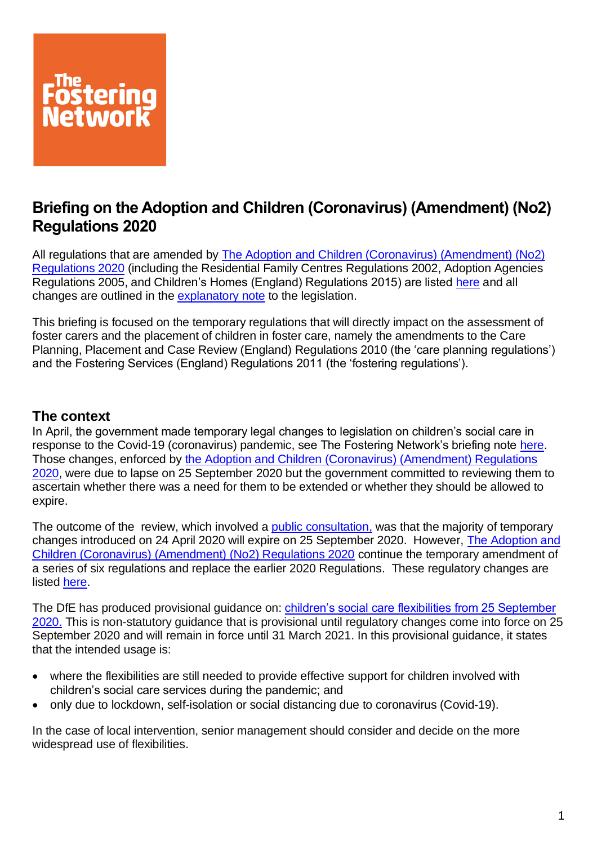

# **Briefing on the Adoption and Children (Coronavirus) (Amendment) (No2) Regulations 2020**

All regulations that are amended by The Adoption and Children (Coronavirus) (Amendment) (No2) [Regulations 2020](https://www.legislation.gov.uk/uksi/2020/909/contents/made) (including the Residential Family Centres Regulations 2002, Adoption Agencies Regulations 2005, and Children's Homes (England) Regulations 2015) are listed [here](https://www.gov.uk/government/publications/coronavirus-covid-19-guidance-for-childrens-social-care-services/provisional-amendments-to-the-existing-regulations) and all changes are outlined in the [explanatory note](https://www.legislation.gov.uk/uksi/2020/909/note/made) to the legislation.

This briefing is focused on the temporary regulations that will directly impact on the assessment of foster carers and the placement of children in foster care, namely the amendments to the Care Planning, Placement and Case Review (England) Regulations 2010 (the 'care planning regulations') and the Fostering Services (England) Regulations 2011 (the 'fostering regulations').

# **The context**

In April, the government made temporary legal changes to legislation on children's social care in response to the Covid-19 (coronavirus) pandemic, see The Fostering Network's briefing note [here.](https://www.thefosteringnetwork.org.uk/sites/www.fostering.net/files/content/briefingontheadoptionandchildrenscoronavirusamendmentsregulations2020andrelatedguidance20052020.pdf) Those changes, enforced by [the Adoption and Children \(Coronavirus\) \(Amendment\) Regulations](https://www.legislation.gov.uk/uksi/2020/445/contents/made)  [2020,](https://www.legislation.gov.uk/uksi/2020/445/contents/made) were due to lapse on 25 September 2020 but the government committed to reviewing them to ascertain whether there was a need for them to be extended or whether they should be allowed to expire.

The outcome of the review, which involved a [public consultation,](https://www.gov.uk/government/consultations/changes-to-the-adoption-and-children-regulations-coronavirus-covid-19) was that the majority of temporary changes introduced on 24 April 2020 will expire on 25 September 2020. However, [The Adoption and](https://www.legislation.gov.uk/uksi/2020/909/contents/made)  [Children \(Coronavirus\) \(Amendment\) \(No2\) Regulations 2020](https://www.legislation.gov.uk/uksi/2020/909/contents/made) continue the temporary amendment of a series of six regulations and replace the earlier 2020 Regulations. These regulatory changes are listed [here.](https://www.gov.uk/government/publications/coronavirus-covid-19-guidance-for-childrens-social-care-services/provisional-amendments-to-the-existing-regulations)

The DfE has produced provisional guidance on: [children's social care flexibilities from 25 September](https://www.gov.uk/government/publications/coronavirus-covid-19-guidance-for-childrens-social-care-services/provisional-guidance-on-extended-regulations#summary-of-changes)  [2020.](https://www.gov.uk/government/publications/coronavirus-covid-19-guidance-for-childrens-social-care-services/provisional-guidance-on-extended-regulations#summary-of-changes) This is non-statutory guidance that is provisional until regulatory changes come into force on 25 September 2020 and will remain in force until 31 March 2021. In this provisional guidance, it states that the intended usage is:

- where the flexibilities are still needed to provide effective support for children involved with children's social care services during the pandemic; and
- only due to lockdown, self-isolation or social distancing due to coronavirus (Covid-19).

In the case of local intervention, senior management should consider and decide on the more widespread use of flexibilities.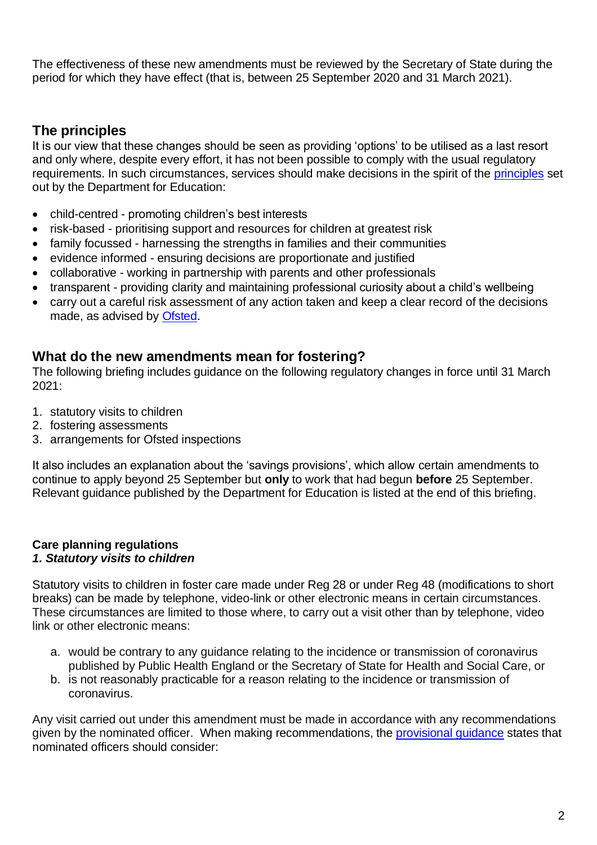The effectiveness of these new amendments must be reviewed by the Secretary of State during the period for which they have effect (that is, between 25 September 2020 and 31 March 2021).

# **The principles**

It is our view that these changes should be seen as providing 'options' to be utilised as a last resort and only where, despite every effort, it has not been possible to comply with the usual regulatory requirements. In such circumstances, services should make decisions in the spirit of the [principles](https://www.gov.uk/government/publications/coronavirus-covid-19-guidance-for-childrens-social-care-services/coronavirus-covid-19-guidance-for-local-authorities-on-childrens-social-care) set out by the Department for Education:

- child-centred promoting children's best interests
- risk-based prioritising support and resources for children at greatest risk
- family focussed harnessing the strengths in families and their communities
- evidence informed ensuring decisions are proportionate and justified
- collaborative working in partnership with parents and other professionals
- transparent providing clarity and maintaining professional curiosity about a child's wellbeing
- carry out a careful risk assessment of any action taken and keep a clear record of the decisions made, as advised by [Ofsted.](https://corambaaf.org.uk/sites/default/files/coronavirus/fostering/Message%20from%20Yvette%20Stanley%2C%20Ofsted)

# **What do the new amendments mean for fostering?**

The following briefing includes guidance on the following regulatory changes in force until 31 March 2021:

- 1. statutory visits to children
- 2. fostering assessments
- 3. arrangements for Ofsted inspections

It also includes an explanation about the 'savings provisions', which allow certain amendments to continue to apply beyond 25 September but **only** to work that had begun **before** 25 September. Relevant guidance published by the Department for Education is listed at the end of this briefing.

# **Care planning regulations**

## *1. Statutory visits to children*

Statutory visits to children in foster care made under Reg 28 or under Reg 48 (modifications to short breaks) can be made by telephone, video-link or other electronic means in certain circumstances. These circumstances are limited to those where, to carry out a visit other than by telephone, video link or other electronic means:

- a. would be contrary to any guidance relating to the incidence or transmission of coronavirus published by Public Health England or the Secretary of State for Health and Social Care, or
- b. is not reasonably practicable for a reason relating to the incidence or transmission of coronavirus.

Any visit carried out under this amendment must be made in accordance with any recommendations given by the nominated officer. When making recommendations, the [provisional guidance](https://www.gov.uk/government/publications/coronavirus-covid-19-guidance-for-childrens-social-care-services/provisional-guidance-on-extended-regulations#summary-of-changes) states that nominated officers should consider: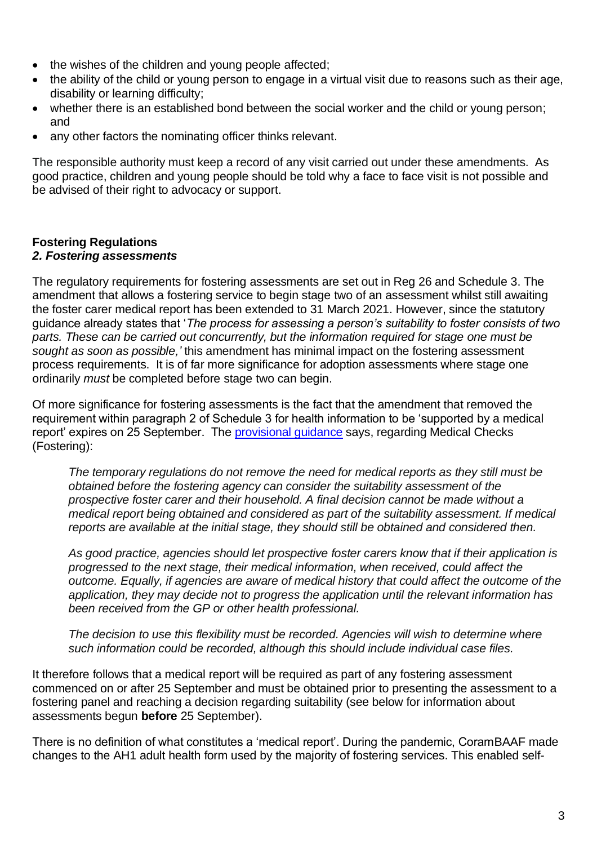- the wishes of the children and young people affected;
- the ability of the child or young person to engage in a virtual visit due to reasons such as their age, disability or learning difficulty;
- whether there is an established bond between the social worker and the child or young person; and
- any other factors the nominating officer thinks relevant.

The responsible authority must keep a record of any visit carried out under these amendments. As good practice, children and young people should be told why a face to face visit is not possible and be advised of their right to advocacy or support.

#### **Fostering Regulations** *2. Fostering assessments*

The regulatory requirements for fostering assessments are set out in Reg 26 and Schedule 3. The amendment that allows a fostering service to begin stage two of an assessment whilst still awaiting the foster carer medical report has been extended to 31 March 2021. However, since the statutory guidance already states that '*The process for assessing a person's suitability to foster consists of two parts. These can be carried out concurrently, but the information required for stage one must be sought as soon as possible,'* this amendment has minimal impact on the fostering assessment process requirements. It is of far more significance for adoption assessments where stage one ordinarily *must* be completed before stage two can begin.

Of more significance for fostering assessments is the fact that the amendment that removed the requirement within paragraph 2 of Schedule 3 for health information to be 'supported by a medical report' expires on 25 September. The [provisional guidance](https://www.gov.uk/government/publications/coronavirus-covid-19-guidance-for-childrens-social-care-services/provisional-guidance-on-extended-regulations#summary-of-changes) says, regarding Medical Checks (Fostering):

*The temporary regulations do not remove the need for medical reports as they still must be obtained before the fostering agency can consider the suitability assessment of the prospective foster carer and their household. A final decision cannot be made without a medical report being obtained and considered as part of the suitability assessment. If medical reports are available at the initial stage, they should still be obtained and considered then.*

*As good practice, agencies should let prospective foster carers know that if their application is progressed to the next stage, their medical information, when received, could affect the outcome. Equally, if agencies are aware of medical history that could affect the outcome of the application, they may decide not to progress the application until the relevant information has been received from the GP or other health professional.*

*The decision to use this flexibility must be recorded. Agencies will wish to determine where such information could be recorded, although this should include individual case files.*

It therefore follows that a medical report will be required as part of any fostering assessment commenced on or after 25 September and must be obtained prior to presenting the assessment to a fostering panel and reaching a decision regarding suitability (see below for information about assessments begun **before** 25 September).

There is no definition of what constitutes a 'medical report'. During the pandemic, CoramBAAF made changes to the AH1 adult health form used by the majority of fostering services. This enabled self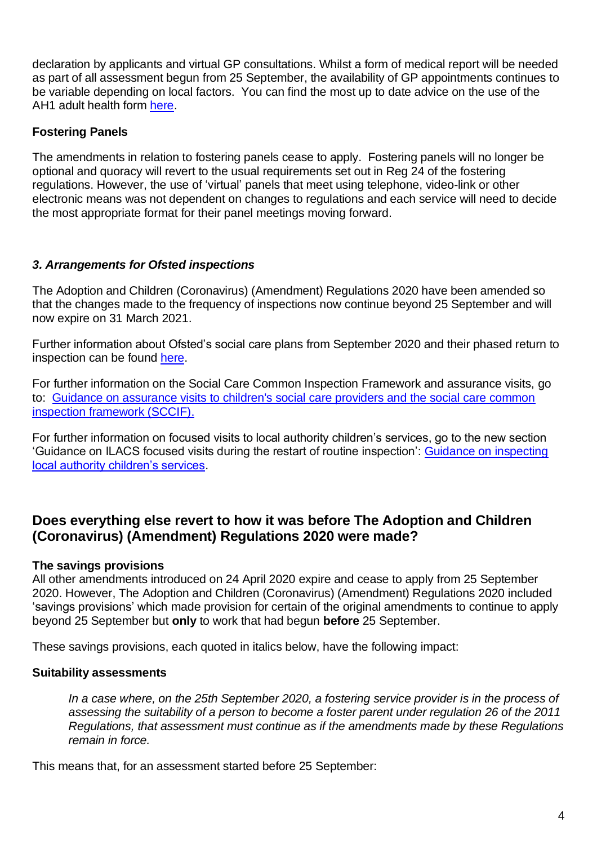declaration by applicants and virtual GP consultations. Whilst a form of medical report will be needed as part of all assessment begun from 25 September, the availability of GP appointments continues to be variable depending on local factors. You can find the most up to date advice on the use of the AH1 adult health form [here.](https://corambaaf.org.uk/coronavirus/health)

# **Fostering Panels**

The amendments in relation to fostering panels cease to apply. Fostering panels will no longer be optional and quoracy will revert to the usual requirements set out in Reg 24 of the fostering regulations. However, the use of 'virtual' panels that meet using telephone, video-link or other electronic means was not dependent on changes to regulations and each service will need to decide the most appropriate format for their panel meetings moving forward.

# *3. Arrangements for Ofsted inspections*

The Adoption and Children (Coronavirus) (Amendment) Regulations 2020 have been amended so that the changes made to the frequency of inspections now continue beyond 25 September and will now expire on 31 March 2021.

Further information about Ofsted's social care plans from September 2020 and their phased return to inspection can be found [here.](https://www.gov.uk/guidance/social-care-plans-from-september-2020)

For further information on the Social Care Common Inspection Framework and assurance visits, go to: [Guidance on assurance visits to children's social care providers and the social care common](https://www.gov.uk/government/collections/social-care-common-inspection-framework-sccif)  [inspection framework \(SCCIF\).](https://www.gov.uk/government/collections/social-care-common-inspection-framework-sccif)

For further information on focused visits to local authority children's services, go to the new section 'Guidance on ILACS focused visits during the restart of routine inspection': [Guidance on inspecting](https://www.gov.uk/government/publications/inspecting-local-authority-childrens-services-from-2018/inspecting-local-authority-childrens-services)  [local authority children's services.](https://www.gov.uk/government/publications/inspecting-local-authority-childrens-services-from-2018/inspecting-local-authority-childrens-services)

# **Does everything else revert to how it was before The Adoption and Children (Coronavirus) (Amendment) Regulations 2020 were made?**

## **The savings provisions**

All other amendments introduced on 24 April 2020 expire and cease to apply from 25 September 2020. However, The Adoption and Children (Coronavirus) (Amendment) Regulations 2020 included 'savings provisions' which made provision for certain of the original amendments to continue to apply beyond 25 September but **only** to work that had begun **before** 25 September.

These savings provisions, each quoted in italics below, have the following impact:

## **Suitability assessments**

*In a case where, on the 25th September 2020, a fostering service provider is in the process of assessing the suitability of a person to become a foster parent under regulation 26 of the 2011 Regulations, that assessment must continue as if the amendments made by these Regulations remain in force.*

This means that, for an assessment started before 25 September: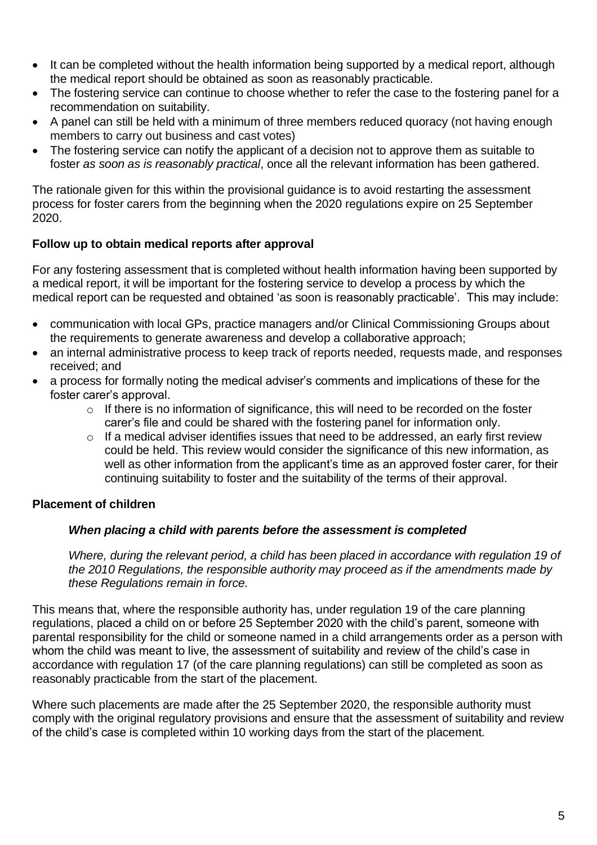- It can be completed without the health information being supported by a medical report, although the medical report should be obtained as soon as reasonably practicable*.*
- The fostering service can continue to choose whether to refer the case to the fostering panel for a recommendation on suitability.
- A panel can still be held with a minimum of three members reduced quoracy (not having enough members to carry out business and cast votes)
- The fostering service can notify the applicant of a decision not to approve them as suitable to foster *as soon as is reasonably practical*, once all the relevant information has been gathered.

The rationale given for this within the provisional guidance is to avoid restarting the assessment process for foster carers from the beginning when the 2020 regulations expire on 25 September 2020.

# **Follow up to obtain medical reports after approval**

For any fostering assessment that is completed without health information having been supported by a medical report, it will be important for the fostering service to develop a process by which the medical report can be requested and obtained 'as soon is reasonably practicable'. This may include:

- communication with local GPs, practice managers and/or Clinical Commissioning Groups about the requirements to generate awareness and develop a collaborative approach;
- an internal administrative process to keep track of reports needed, requests made, and responses received; and
- a process for formally noting the medical adviser's comments and implications of these for the foster carer's approval.
	- $\circ$  If there is no information of significance, this will need to be recorded on the foster carer's file and could be shared with the fostering panel for information only.
	- $\circ$  If a medical adviser identifies issues that need to be addressed, an early first review could be held. This review would consider the significance of this new information, as well as other information from the applicant's time as an approved foster carer, for their continuing suitability to foster and the suitability of the terms of their approval.

# **Placement of children**

## *When placing a child with parents before the assessment is completed*

*Where, during the relevant period, a child has been placed in accordance with regulation 19 of the 2010 Regulations, the responsible authority may proceed as if the amendments made by these Regulations remain in force.* 

This means that, where the responsible authority has, under regulation 19 of the care planning regulations, placed a child on or before 25 September 2020 with the child's parent, someone with parental responsibility for the child or someone named in a child arrangements order as a person with whom the child was meant to live, the assessment of suitability and review of the child's case in accordance with regulation 17 (of the care planning regulations) can still be completed as soon as reasonably practicable from the start of the placement.

Where such placements are made after the 25 September 2020, the responsible authority must comply with the original regulatory provisions and ensure that the assessment of suitability and review of the child's case is completed within 10 working days from the start of the placement.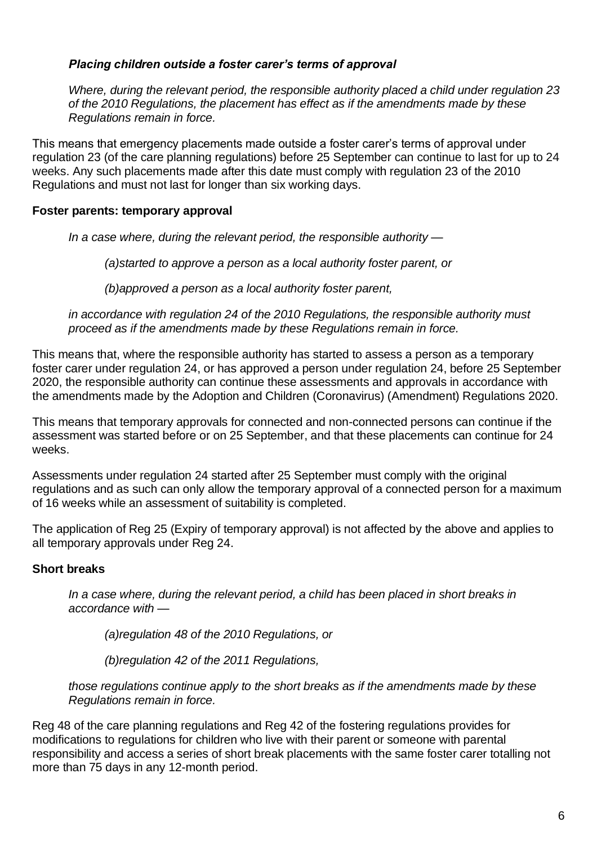## *Placing children outside a foster carer's terms of approval*

*Where, during the relevant period, the responsible authority placed a child under regulation 23 of the 2010 Regulations, the placement has effect as if the amendments made by these Regulations remain in force.*

This means that emergency placements made outside a foster carer's terms of approval under regulation 23 (of the care planning regulations) before 25 September can continue to last for up to 24 weeks. Any such placements made after this date must comply with regulation 23 of the 2010 Regulations and must not last for longer than six working days.

#### **Foster parents: temporary approval**

*In a case where, during the relevant period, the responsible authority —*

*(a)started to approve a person as a local authority foster parent, or*

*(b)approved a person as a local authority foster parent,*

*in accordance with regulation 24 of the 2010 Regulations, the responsible authority must proceed as if the amendments made by these Regulations remain in force.*

This means that, where the responsible authority has started to assess a person as a temporary foster carer under regulation 24, or has approved a person under regulation 24, before 25 September 2020, the responsible authority can continue these assessments and approvals in accordance with the amendments made by the Adoption and Children (Coronavirus) (Amendment) Regulations 2020.

This means that temporary approvals for connected and non-connected persons can continue if the assessment was started before or on 25 September, and that these placements can continue for 24 weeks.

Assessments under regulation 24 started after 25 September must comply with the original regulations and as such can only allow the temporary approval of a connected person for a maximum of 16 weeks while an assessment of suitability is completed.

The application of Reg 25 (Expiry of temporary approval) is not affected by the above and applies to all temporary approvals under Reg 24.

#### **Short breaks**

*In a case where, during the relevant period, a child has been placed in short breaks in accordance with —*

*(a)regulation 48 of the 2010 Regulations, or*

*(b)regulation 42 of the 2011 Regulations,*

*those regulations continue apply to the short breaks as if the amendments made by these Regulations remain in force.*

Reg 48 of the care planning regulations and Reg 42 of the fostering regulations provides for modifications to regulations for children who live with their parent or someone with parental responsibility and access a series of short break placements with the same foster carer totalling not more than 75 days in any 12-month period.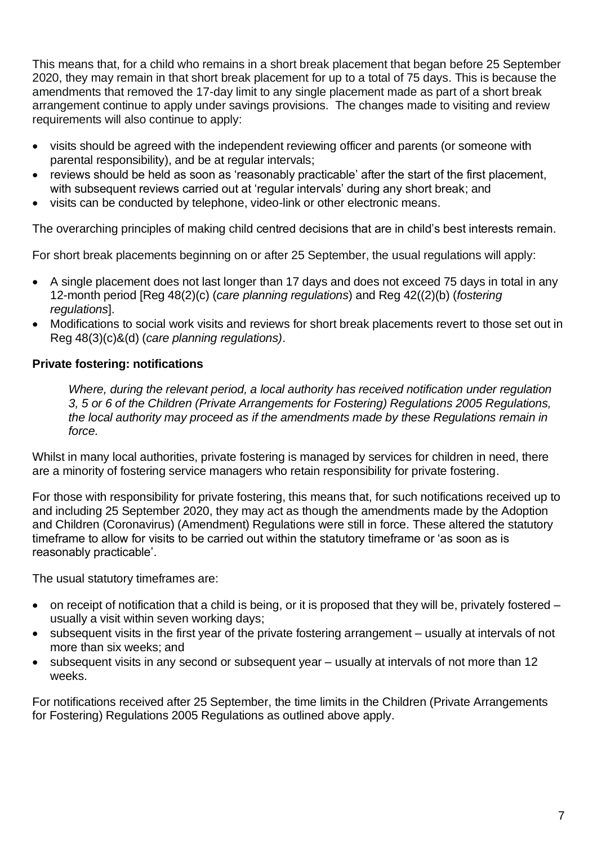This means that, for a child who remains in a short break placement that began before 25 September 2020, they may remain in that short break placement for up to a total of 75 days. This is because the amendments that removed the 17-day limit to any single placement made as part of a short break arrangement continue to apply under savings provisions. The changes made to visiting and review requirements will also continue to apply:

- visits should be agreed with the independent reviewing officer and parents (or someone with parental responsibility), and be at regular intervals;
- reviews should be held as soon as 'reasonably practicable' after the start of the first placement, with subsequent reviews carried out at 'regular intervals' during any short break; and
- visits can be conducted by telephone, video-link or other electronic means.

The overarching principles of making child centred decisions that are in child's best interests remain.

For short break placements beginning on or after 25 September, the usual regulations will apply:

- A single placement does not last longer than 17 days and does not exceed 75 days in total in any 12-month period [Reg 48(2)(c) (*care planning regulations*) and Reg 42((2)(b) (*fostering regulations*].
- Modifications to social work visits and reviews for short break placements revert to those set out in Reg 48(3)(c)&(d) (*care planning regulations)*.

## **Private fostering: notifications**

*Where, during the relevant period, a local authority has received notification under regulation 3, 5 or 6 of the Children (Private Arrangements for Fostering) Regulations 2005 Regulations, the local authority may proceed as if the amendments made by these Regulations remain in force.*

Whilst in many local authorities, private fostering is managed by services for children in need, there are a minority of fostering service managers who retain responsibility for private fostering.

For those with responsibility for private fostering, this means that, for such notifications received up to and including 25 September 2020, they may act as though the amendments made by the Adoption and Children (Coronavirus) (Amendment) Regulations were still in force. These altered the statutory timeframe to allow for visits to be carried out within the statutory timeframe or 'as soon as is reasonably practicable'.

The usual statutory timeframes are:

- on receipt of notification that a child is being, or it is proposed that they will be, privately fostered usually a visit within seven working days;
- subsequent visits in the first year of the private fostering arrangement usually at intervals of not more than six weeks; and
- subsequent visits in any second or subsequent year usually at intervals of not more than 12 weeks.

For notifications received after 25 September, the time limits in the Children (Private Arrangements for Fostering) Regulations 2005 Regulations as outlined above apply.